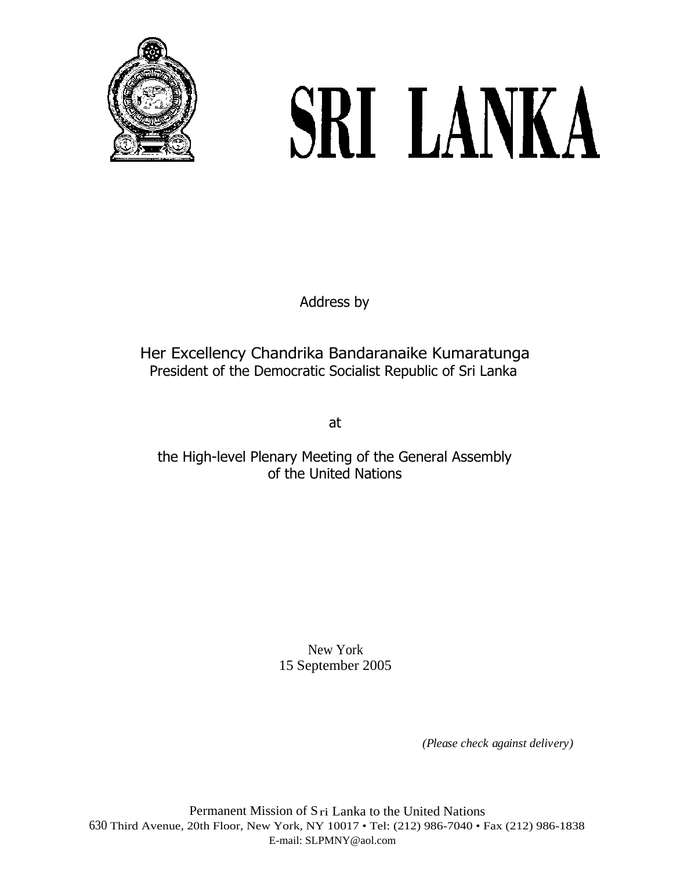

# SRI LANKA

Address by

# Her Excellency Chandrika Bandaranaike Kumaratunga President of the Democratic Socialist Republic of Sri Lanka

at

## the High-level Plenary Meeting of the General Assembly of the United Nations

New York 15 September 2005

*(Please check against delivery)*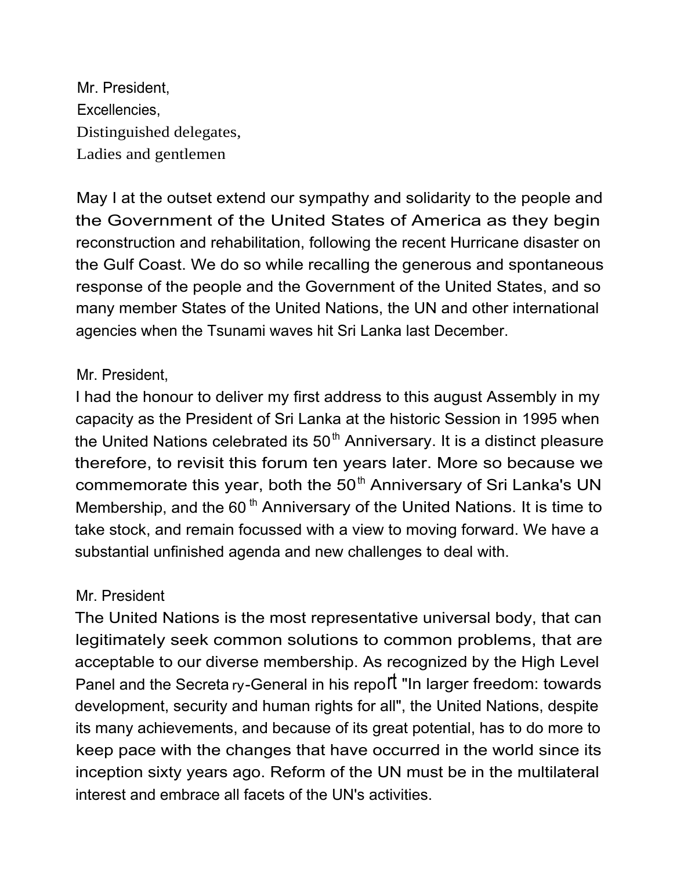Mr. President, Excellencies, Distinguished delegates, Ladies and gentlemen

May I at the outset extend our sympathy and solidarity to the people and the Government of the United States of America as they begin reconstruction and rehabilitation, following the recent Hurricane disaster on the Gulf Coast. We do so while recalling the generous and spontaneous response of the people and the Government of the United States, and so many member States of the United Nations, the UN and other international agencies when the Tsunami waves hit Sri Lanka last December.

## Mr. President,

I had the honour to deliver my first address to this august Assembly in my capacity as the President of Sri Lanka at the historic Session in 1995 when the United Nations celebrated its  $50<sup>th</sup>$  Anniversary. It is a distinct pleasure therefore, to revisit this forum ten years later. More so because we commemorate this year, both the  $50<sup>th</sup>$  Anniversary of Sri Lanka's UN Membership, and the 60<sup>th</sup> Anniversary of the United Nations. It is time to take stock, and remain focussed with a view to moving forward. We have a substantial unfinished agenda and new challenges to deal with.

## Mr. President

The United Nations is the most representative universal body, that can legitimately seek common solutions to common problems, that are acceptable to our diverse membership. As recognized by the High Level Panel and the Secreta ry-General in his repoll<sup>t</sup> "In larger freedom: towards development, security and human rights for all", the United Nations, despite its many achievements, and because of its great potential, has to do more to keep pace with the changes that have occurred in the world since its inception sixty years ago. Reform of the UN must be in the multilateral interest and embrace all facets of the UN's activities.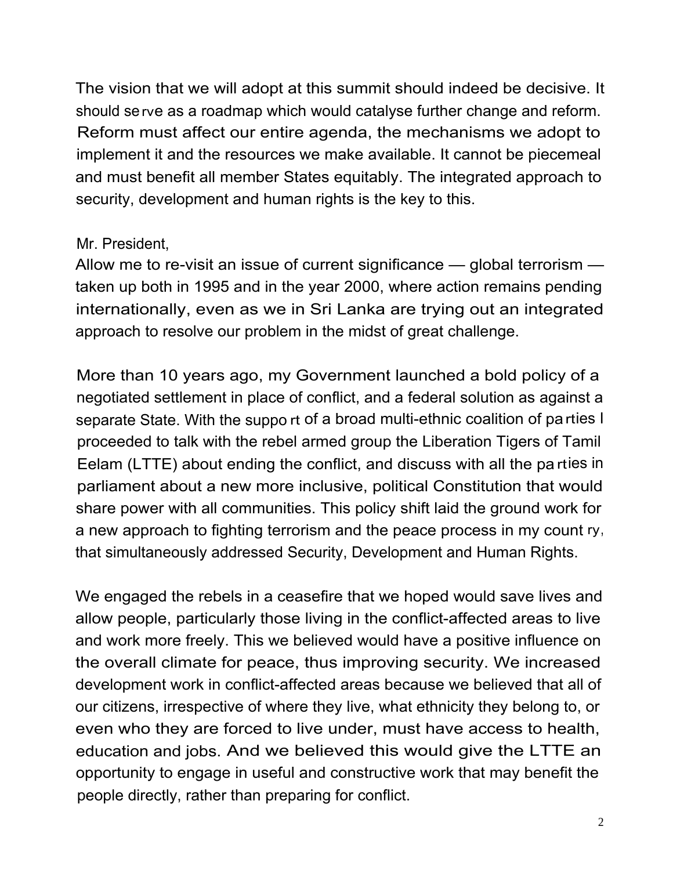The vision that we will adopt at this summit should indeed be decisive. It should serve as a roadmap which would catalyse further change and reform. Reform must affect our entire agenda, the mechanisms we adopt to implement it and the resources we make available. It cannot be piecemeal and must benefit all member States equitably. The integrated approach to security, development and human rights is the key to this.

## Mr. President,

Allow me to re-visit an issue of current significance — global terrorism taken up both in 1995 and in the year 2000, where action remains pending internationally, even as we in Sri Lanka are trying out an integrated approach to resolve our problem in the midst of great challenge.

More than 10 years ago, my Government launched a bold policy of a negotiated settlement in place of conflict, and a federal solution as against a separate State. With the suppo rt of a broad multi-ethnic coalition of parties I proceeded to talk with the rebel armed group the Liberation Tigers of Tamil Eelam (LTTE) about ending the conflict, and discuss with all the pa rties in parliament about a new more inclusive, political Constitution that would share power with all communities. This policy shift laid the ground work for a new approach to fighting terrorism and the peace process in my count ry, that simultaneously addressed Security, Development and Human Rights.

We engaged the rebels in a ceasefire that we hoped would save lives and allow people, particularly those living in the conflict-affected areas to live and work more freely. This we believed would have a positive influence on the overall climate for peace, thus improving security. We increased development work in conflict-affected areas because we believed that all of our citizens, irrespective of where they live, what ethnicity they belong to, or even who they are forced to live under, must have access to health, education and jobs. And we believed this would give the LTTE an opportunity to engage in useful and constructive work that may benefit the people directly, rather than preparing for conflict.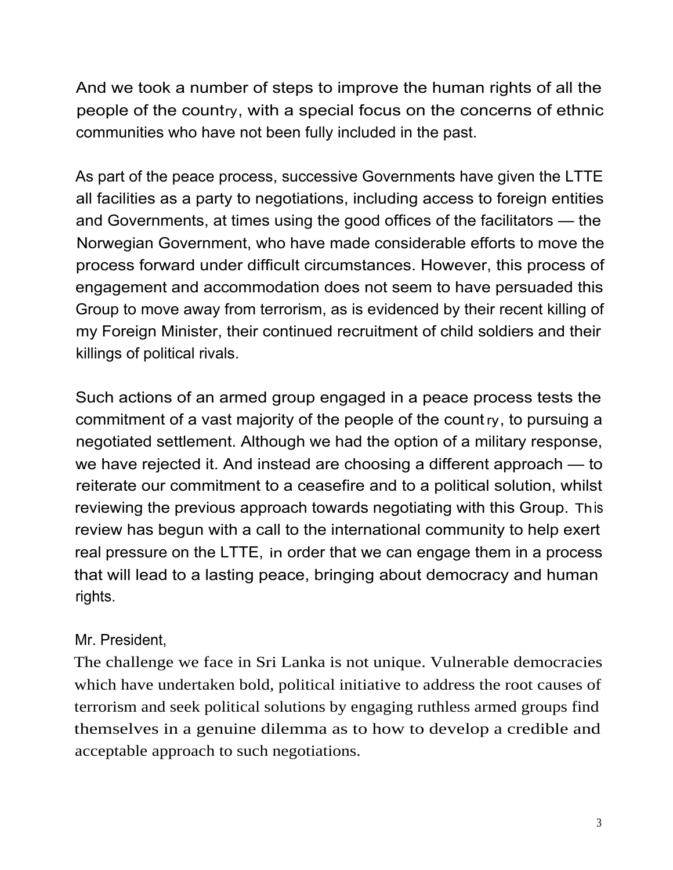And we took a number of steps to improve the human rights of all the people of the country, with a special focus on the concerns of ethnic communities who have not been fully included in the past.

As part of the peace process, successive Governments have given the LTTE all facilities as a party to negotiations, including access to foreign entities and Governments, at times using the good offices of the facilitators — the Norwegian Government, who have made considerable efforts to move the process forward under difficult circumstances. However, this process of engagement and accommodation does not seem to have persuaded this Group to move away from terrorism, as is evidenced by their recent killing of my Foreign Minister, their continued recruitment of child soldiers and their killings of political rivals.

Such actions of an armed group engaged in a peace process tests the commitment of a vast majority of the people of the count ry, to pursuing a negotiated settlement. Although we had the option of a military response, we have rejected it. And instead are choosing a different approach — to reiterate our commitment to a ceasefire and to a political solution, whilst reviewing the previous approach towards negotiating with this Group. This review has begun with a call to the international community to help exert real pressure on the LTTE, in order that we can engage them in a process that will lead to a lasting peace, bringing about democracy and human rights.

# Mr. President,

The challenge we face in Sri Lanka is not unique. Vulnerable democracies which have undertaken bold, political initiative to address the root causes of terrorism and seek political solutions by engaging ruthless armed groups find themselves in a genuine dilemma as to how to develop a credible and acceptable approach to such negotiations.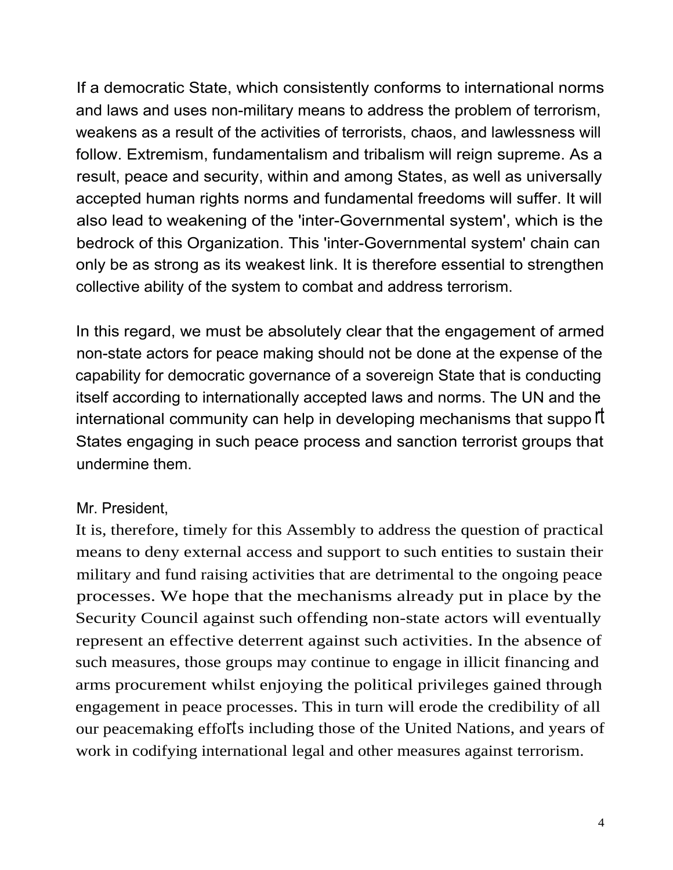If a democratic State, which consistently conforms to international norms and laws and uses non-military means to address the problem of terrorism, weakens as a result of the activities of terrorists, chaos, and lawlessness will follow. Extremism, fundamentalism and tribalism will reign supreme. As a result, peace and security, within and among States, as well as universally accepted human rights norms and fundamental freedoms will suffer. It will also lead to weakening of the 'inter-Governmental system', which is the bedrock of this Organization. This 'inter-Governmental system' chain can only be as strong as its weakest link. It is therefore essential to strengthen collective ability of the system to combat and address terrorism.

In this regard, we must be absolutely clear that the engagement of armed non-state actors for peace making should not be done at the expense of the capability for democratic governance of a sovereign State that is conducting itself according to internationally accepted laws and norms. The UN and the international community can help in developing mechanisms that suppo  $\mathfrak f$ States engaging in such peace process and sanction terrorist groups that undermine them.

#### Mr. President,

It is, therefore, timely for this Assembly to address the question of practical means to deny external access and support to such entities to sustain their military and fund raising activities that are detrimental to the ongoing peace processes. We hope that the mechanisms already put in place by the Security Council against such offending non-state actors will eventually represent an effective deterrent against such activities. In the absence of such measures, those groups may continue to engage in illicit financing and arms procurement whilst enjoying the political privileges gained through engagement in peace processes. This in turn will erode the credibility of all our peacemaking efforts including those of the United Nations, and years of work in codifying international legal and other measures against terrorism.